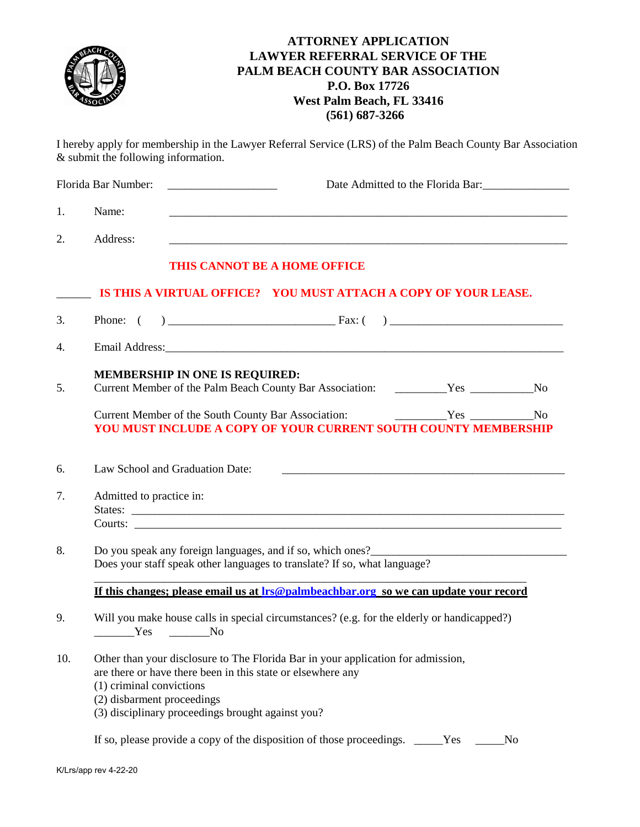|     | <b>ATTORNEY APPLICATION</b><br><b>LAWYER REFERRAL SERVICE OF THE</b><br>PALM BEACH COUNTY BAR ASSOCIATION<br>P.O. Box 17726<br>West Palm Beach, FL 33416<br>$(561)$ 687-3266                                                                                   |  |
|-----|----------------------------------------------------------------------------------------------------------------------------------------------------------------------------------------------------------------------------------------------------------------|--|
|     | I hereby apply for membership in the Lawyer Referral Service (LRS) of the Palm Beach County Bar Association<br>& submit the following information.                                                                                                             |  |
|     | Florida Bar Number:<br>Date Admitted to the Florida Bar:                                                                                                                                                                                                       |  |
| 1.  | Name:                                                                                                                                                                                                                                                          |  |
| 2.  | Address:                                                                                                                                                                                                                                                       |  |
|     | THIS CANNOT BE A HOME OFFICE                                                                                                                                                                                                                                   |  |
|     | IS THIS A VIRTUAL OFFICE? YOU MUST ATTACH A COPY OF YOUR LEASE.                                                                                                                                                                                                |  |
| 3.  |                                                                                                                                                                                                                                                                |  |
| 4.  |                                                                                                                                                                                                                                                                |  |
| 5.  | <b>MEMBERSHIP IN ONE IS REQUIRED:</b>                                                                                                                                                                                                                          |  |
|     | <b>No</b><br>YOU MUST INCLUDE A COPY OF YOUR CURRENT SOUTH COUNTY MEMBERSHIP                                                                                                                                                                                   |  |
| 6.  | Law School and Graduation Date:                                                                                                                                                                                                                                |  |
| 7.  | Admitted to practice in:<br>Courts:                                                                                                                                                                                                                            |  |
| 8.  | Does your staff speak other languages to translate? If so, what language?                                                                                                                                                                                      |  |
|     | If this changes; please email us at lrs@palmbeachbar.org so we can update your record                                                                                                                                                                          |  |
| 9.  | Will you make house calls in special circumstances? (e.g. for the elderly or handicapped?)<br>$Yes$ No                                                                                                                                                         |  |
| 10. | Other than your disclosure to The Florida Bar in your application for admission,<br>are there or have there been in this state or elsewhere any<br>(1) criminal convictions<br>(2) disbarment proceedings<br>(3) disciplinary proceedings brought against you? |  |
|     | If so, please provide a copy of the disposition of those proceedings. _____Yes ___<br>N <sub>o</sub>                                                                                                                                                           |  |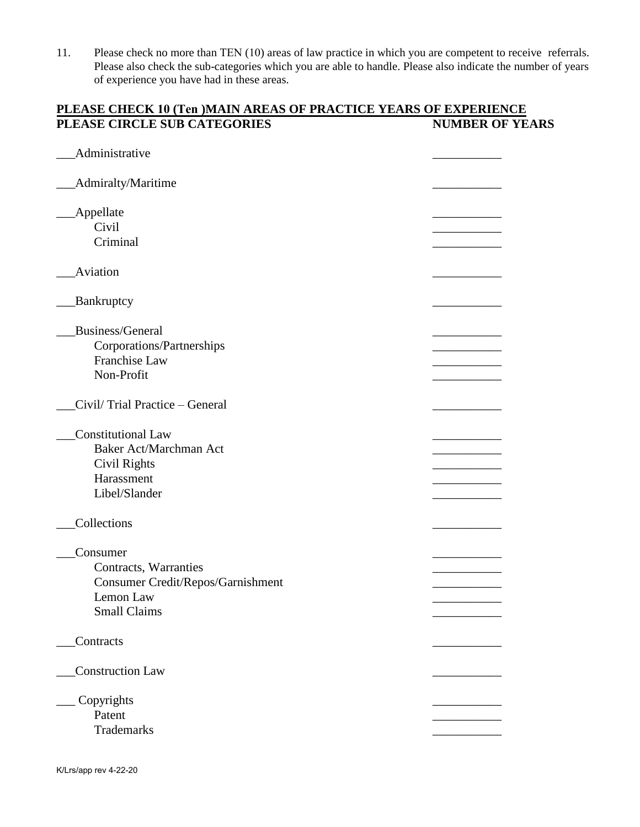11. Please check no more than TEN (10) areas of law practice in which you are competent to receive referrals. Please also check the sub-categories which you are able to handle. Please also indicate the number of years of experience you have had in these areas.

#### **PLEASE CHECK 10 (Ten )MAIN AREAS OF PRACTICE YEARS OF EXPERIENCE PLEASE CIRCLE SUB CATEGORIES NUMBER OF YEARS**

| Administrative                                    |  |
|---------------------------------------------------|--|
| Admiralty/Maritime                                |  |
| Appellate                                         |  |
| Civil<br>Criminal                                 |  |
| Aviation                                          |  |
|                                                   |  |
| Bankruptcy                                        |  |
| Business/General                                  |  |
| Corporations/Partnerships<br><b>Franchise Law</b> |  |
| Non-Profit                                        |  |
|                                                   |  |
| Civil/Trial Practice - General                    |  |
| Constitutional Law                                |  |
| Baker Act/Marchman Act                            |  |
| Civil Rights<br>Harassment                        |  |
| Libel/Slander                                     |  |
|                                                   |  |
| Collections                                       |  |
| Consumer                                          |  |
| Contracts, Warranties                             |  |
| Consumer Credit/Repos/Garnishment                 |  |
| Lemon Law<br><b>Small Claims</b>                  |  |
|                                                   |  |
| Contracts                                         |  |
| <b>Construction Law</b>                           |  |
|                                                   |  |
| Copyrights<br>Patent                              |  |
| Trademarks                                        |  |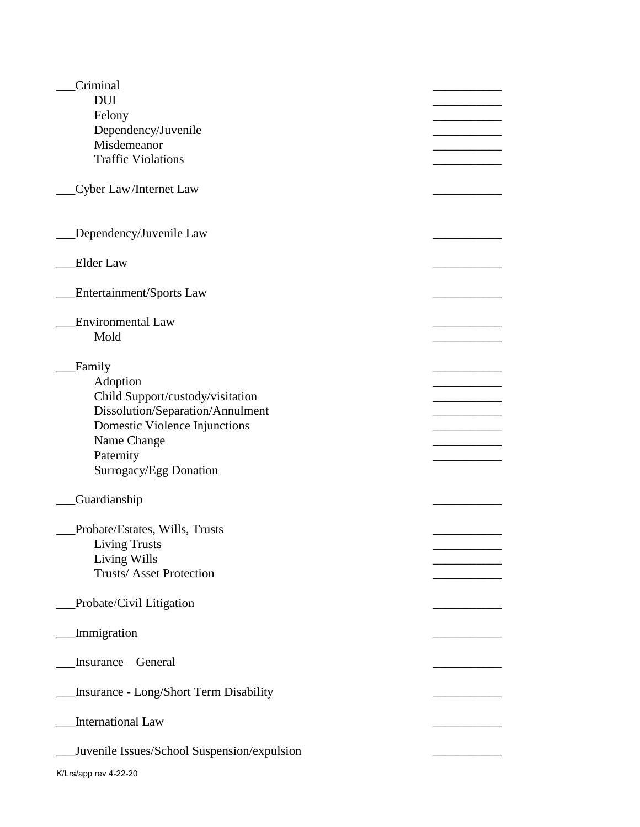| Criminal                                      |  |
|-----------------------------------------------|--|
| <b>DUI</b>                                    |  |
| Felony                                        |  |
| Dependency/Juvenile                           |  |
| Misdemeanor                                   |  |
| <b>Traffic Violations</b>                     |  |
|                                               |  |
| Cyber Law/Internet Law                        |  |
|                                               |  |
|                                               |  |
| Dependency/Juvenile Law                       |  |
|                                               |  |
| <b>Elder Law</b>                              |  |
|                                               |  |
| Entertainment/Sports Law                      |  |
|                                               |  |
| <b>Environmental Law</b>                      |  |
| Mold                                          |  |
|                                               |  |
| Family<br>Adoption                            |  |
| Child Support/custody/visitation              |  |
|                                               |  |
| Dissolution/Separation/Annulment              |  |
| Domestic Violence Injunctions<br>Name Change  |  |
| Paternity                                     |  |
| Surrogacy/Egg Donation                        |  |
|                                               |  |
| Guardianship                                  |  |
|                                               |  |
| Probate/Estates, Wills, Trusts                |  |
| <b>Living Trusts</b>                          |  |
| Living Wills                                  |  |
| <b>Trusts/Asset Protection</b>                |  |
|                                               |  |
| Probate/Civil Litigation                      |  |
|                                               |  |
| Immigration                                   |  |
|                                               |  |
| Insurance – General                           |  |
|                                               |  |
| <b>Insurance - Long/Short Term Disability</b> |  |
|                                               |  |
| <b>International Law</b>                      |  |
|                                               |  |
| Juvenile Issues/School Suspension/expulsion   |  |
| K/Lrs/app rev 4-22-20                         |  |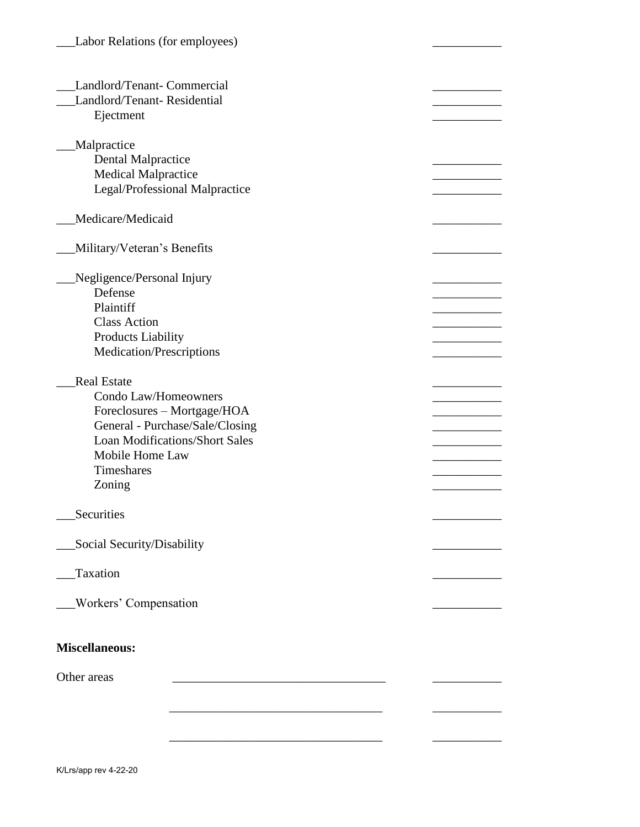| Landlord/Tenant- Commercial<br>Landlord/Tenant-Residential<br>Ejectment                                                                                                                          |  |  |  |  |
|--------------------------------------------------------------------------------------------------------------------------------------------------------------------------------------------------|--|--|--|--|
| <b>Malpractice</b><br><b>Dental Malpractice</b><br><b>Medical Malpractice</b><br>Legal/Professional Malpractice                                                                                  |  |  |  |  |
| Medicare/Medicaid                                                                                                                                                                                |  |  |  |  |
| Military/Veteran's Benefits                                                                                                                                                                      |  |  |  |  |
| Negligence/Personal Injury<br>Defense<br>Plaintiff<br><b>Class Action</b><br><b>Products Liability</b><br>Medication/Prescriptions                                                               |  |  |  |  |
| <b>Real Estate</b><br>Condo Law/Homeowners<br>Foreclosures - Mortgage/HOA<br>General - Purchase/Sale/Closing<br><b>Loan Modifications/Short Sales</b><br>Mobile Home Law<br>Timeshares<br>Zoning |  |  |  |  |
| Securities                                                                                                                                                                                       |  |  |  |  |
| Social Security/Disability                                                                                                                                                                       |  |  |  |  |
| Taxation                                                                                                                                                                                         |  |  |  |  |
| <b>Workers' Compensation</b>                                                                                                                                                                     |  |  |  |  |
| <b>Miscellaneous:</b><br>Other areas                                                                                                                                                             |  |  |  |  |
|                                                                                                                                                                                                  |  |  |  |  |
|                                                                                                                                                                                                  |  |  |  |  |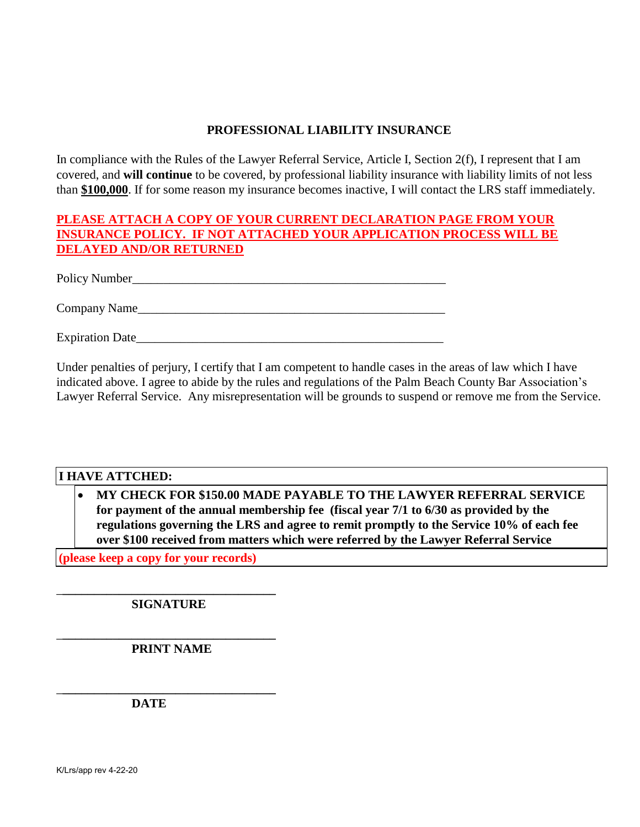## **PROFESSIONAL LIABILITY INSURANCE**

In compliance with the Rules of the Lawyer Referral Service, Article I, Section 2(f), I represent that I am covered, and **will continue** to be covered, by professional liability insurance with liability limits of not less than **\$100,000**. If for some reason my insurance becomes inactive, I will contact the LRS staff immediately.

# **PLEASE ATTACH A COPY OF YOUR CURRENT DECLARATION PAGE FROM YOUR INSURANCE POLICY. IF NOT ATTACHED YOUR APPLICATION PROCESS WILL BE DELAYED AND/OR RETURNED**

Policy Number\_\_\_\_\_\_\_\_\_\_\_\_\_\_\_\_\_\_\_\_\_\_\_\_\_\_\_\_\_\_\_\_\_\_\_\_\_\_\_\_\_\_\_\_\_\_\_\_\_\_

Company Name

Expiration Date

Under penalties of perjury, I certify that I am competent to handle cases in the areas of law which I have indicated above. I agree to abide by the rules and regulations of the Palm Beach County Bar Association's Lawyer Referral Service. Any misrepresentation will be grounds to suspend or remove me from the Service.

## **I HAVE ATTCHED:**

 **MY CHECK FOR \$150.00 MADE PAYABLE TO THE LAWYER REFERRAL SERVICE for payment of the annual membership fee (fiscal year 7/1 to 6/30 as provided by the regulations governing the LRS and agree to remit promptly to the Service 10% of each fee over \$100 received from matters which were referred by the Lawyer Referral Service**

**(please keep a copy for your records)**

\_**\_\_\_\_\_\_\_\_\_\_\_\_\_\_\_\_\_\_\_\_\_\_\_\_\_\_\_\_\_\_\_\_\_\_ SIGNATURE** 

\_**\_\_\_\_\_\_\_\_\_\_\_\_\_\_\_\_\_\_\_\_\_\_\_\_\_\_\_\_\_\_\_\_\_\_ PRINT NAME** 

\_**\_\_\_\_\_\_\_\_\_\_\_\_\_\_\_\_\_\_\_\_\_\_\_\_\_\_\_\_\_\_\_\_\_\_** 

**DATE**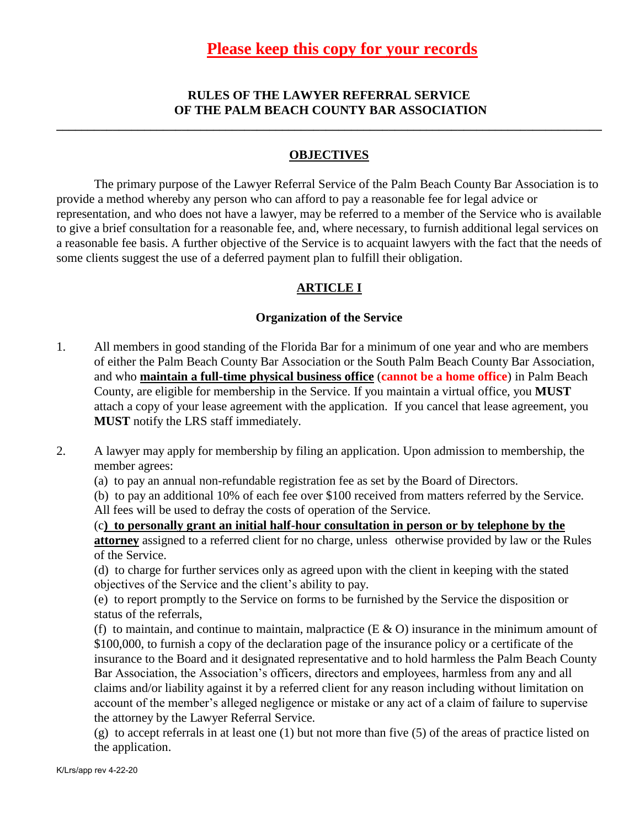# **RULES OF THE LAWYER REFERRAL SERVICE OF THE PALM BEACH COUNTY BAR ASSOCIATION**

**\_\_\_\_\_\_\_\_\_\_\_\_\_\_\_\_\_\_\_\_\_\_\_\_\_\_\_\_\_\_\_\_\_\_\_\_\_\_\_\_\_\_\_\_\_\_\_\_\_\_\_\_\_\_\_\_\_\_\_\_\_\_\_\_\_\_\_\_\_\_\_\_\_\_\_\_\_\_\_\_\_\_\_\_\_\_\_** 

## **OBJECTIVES**

The primary purpose of the Lawyer Referral Service of the Palm Beach County Bar Association is to provide a method whereby any person who can afford to pay a reasonable fee for legal advice or representation, and who does not have a lawyer, may be referred to a member of the Service who is available to give a brief consultation for a reasonable fee, and, where necessary, to furnish additional legal services on a reasonable fee basis. A further objective of the Service is to acquaint lawyers with the fact that the needs of some clients suggest the use of a deferred payment plan to fulfill their obligation.

# **ARTICLE I**

## **Organization of the Service**

- 1. All members in good standing of the Florida Bar for a minimum of one year and who are members of either the Palm Beach County Bar Association or the South Palm Beach County Bar Association, and who **maintain a full-time physical business office** (**cannot be a home office**) in Palm Beach County, are eligible for membership in the Service. If you maintain a virtual office, you **MUST** attach a copy of your lease agreement with the application. If you cancel that lease agreement, you **MUST** notify the LRS staff immediately.
- 2. A lawyer may apply for membership by filing an application. Upon admission to membership, the member agrees:
	- (a) to pay an annual non-refundable registration fee as set by the Board of Directors.
	- (b) to pay an additional 10% of each fee over \$100 received from matters referred by the Service. All fees will be used to defray the costs of operation of the Service.

(c**) to personally grant an initial half-hour consultation in person or by telephone by the attorney** assigned to a referred client for no charge, unless otherwise provided by law or the Rules of the Service.

(d) to charge for further services only as agreed upon with the client in keeping with the stated objectives of the Service and the client's ability to pay.

(e) to report promptly to the Service on forms to be furnished by the Service the disposition or status of the referrals,

(f) to maintain, and continue to maintain, malpractice ( $E \& O$ ) insurance in the minimum amount of \$100,000, to furnish a copy of the declaration page of the insurance policy or a certificate of the insurance to the Board and it designated representative and to hold harmless the Palm Beach County Bar Association, the Association's officers, directors and employees, harmless from any and all claims and/or liability against it by a referred client for any reason including without limitation on account of the member's alleged negligence or mistake or any act of a claim of failure to supervise the attorney by the Lawyer Referral Service.

(g) to accept referrals in at least one (1) but not more than five (5) of the areas of practice listed on the application.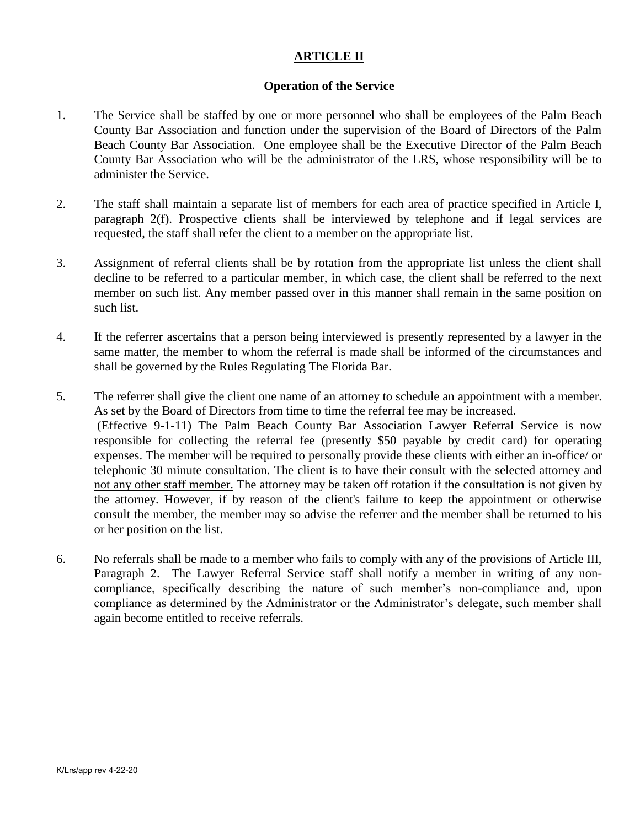# **ARTICLE II**

#### **Operation of the Service**

- 1. The Service shall be staffed by one or more personnel who shall be employees of the Palm Beach County Bar Association and function under the supervision of the Board of Directors of the Palm Beach County Bar Association. One employee shall be the Executive Director of the Palm Beach County Bar Association who will be the administrator of the LRS, whose responsibility will be to administer the Service.
- 2. The staff shall maintain a separate list of members for each area of practice specified in Article I, paragraph 2(f). Prospective clients shall be interviewed by telephone and if legal services are requested, the staff shall refer the client to a member on the appropriate list.
- 3. Assignment of referral clients shall be by rotation from the appropriate list unless the client shall decline to be referred to a particular member, in which case, the client shall be referred to the next member on such list. Any member passed over in this manner shall remain in the same position on such list.
- 4. If the referrer ascertains that a person being interviewed is presently represented by a lawyer in the same matter, the member to whom the referral is made shall be informed of the circumstances and shall be governed by the Rules Regulating The Florida Bar.
- 5. The referrer shall give the client one name of an attorney to schedule an appointment with a member. As set by the Board of Directors from time to time the referral fee may be increased. (Effective 9-1-11) The Palm Beach County Bar Association Lawyer Referral Service is now responsible for collecting the referral fee (presently \$50 payable by credit card) for operating expenses. The member will be required to personally provide these clients with either an in-office/ or telephonic 30 minute consultation. The client is to have their consult with the selected attorney and not any other staff member. The attorney may be taken off rotation if the consultation is not given by the attorney. However, if by reason of the client's failure to keep the appointment or otherwise consult the member, the member may so advise the referrer and the member shall be returned to his or her position on the list.
- 6. No referrals shall be made to a member who fails to comply with any of the provisions of Article III, Paragraph 2. The Lawyer Referral Service staff shall notify a member in writing of any noncompliance, specifically describing the nature of such member's non-compliance and, upon compliance as determined by the Administrator or the Administrator's delegate, such member shall again become entitled to receive referrals.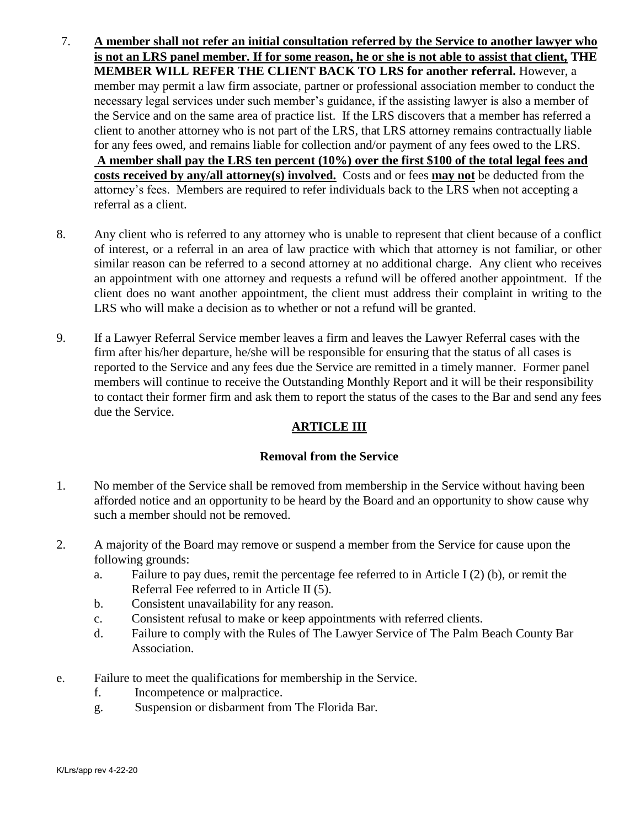- 7. **A member shall not refer an initial consultation referred by the Service to another lawyer who is not an LRS panel member. If for some reason, he or she is not able to assist that client, THE MEMBER WILL REFER THE CLIENT BACK TO LRS for another referral.** However, a member may permit a law firm associate, partner or professional association member to conduct the necessary legal services under such member's guidance, if the assisting lawyer is also a member of the Service and on the same area of practice list. If the LRS discovers that a member has referred a client to another attorney who is not part of the LRS, that LRS attorney remains contractually liable for any fees owed, and remains liable for collection and/or payment of any fees owed to the LRS. **A member shall pay the LRS ten percent (10%) over the first \$100 of the total legal fees and costs received by any/all attorney(s) involved.** Costs and or fees **may not** be deducted from the attorney's fees. Members are required to refer individuals back to the LRS when not accepting a referral as a client.
- 8. Any client who is referred to any attorney who is unable to represent that client because of a conflict of interest, or a referral in an area of law practice with which that attorney is not familiar, or other similar reason can be referred to a second attorney at no additional charge. Any client who receives an appointment with one attorney and requests a refund will be offered another appointment. If the client does no want another appointment, the client must address their complaint in writing to the LRS who will make a decision as to whether or not a refund will be granted.
- 9. If a Lawyer Referral Service member leaves a firm and leaves the Lawyer Referral cases with the firm after his/her departure, he/she will be responsible for ensuring that the status of all cases is reported to the Service and any fees due the Service are remitted in a timely manner. Former panel members will continue to receive the Outstanding Monthly Report and it will be their responsibility to contact their former firm and ask them to report the status of the cases to the Bar and send any fees due the Service.

## **ARTICLE III**

## **Removal from the Service**

- 1. No member of the Service shall be removed from membership in the Service without having been afforded notice and an opportunity to be heard by the Board and an opportunity to show cause why such a member should not be removed.
- 2. A majority of the Board may remove or suspend a member from the Service for cause upon the following grounds:
	- a. Failure to pay dues, remit the percentage fee referred to in Article I (2) (b), or remit the Referral Fee referred to in Article II (5).
	- b. Consistent unavailability for any reason.
	- c. Consistent refusal to make or keep appointments with referred clients.
	- d. Failure to comply with the Rules of The Lawyer Service of The Palm Beach County Bar Association.
- e. Failure to meet the qualifications for membership in the Service.
	- f. Incompetence or malpractice.
	- g. Suspension or disbarment from The Florida Bar.